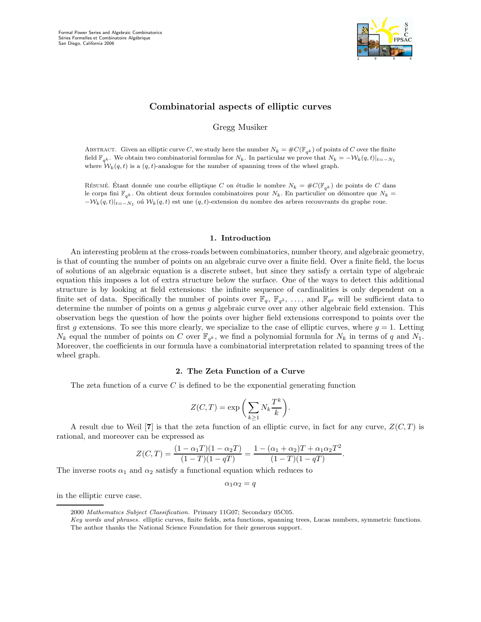

# Combinatorial aspects of elliptic curves

Gregg Musiker

ABSTRACT. Given an elliptic curve C, we study here the number  $N_k = \#C(\mathbb{F}_{q^k})$  of points of C over the finite field  $\mathbb{F}_{q^k}$ . We obtain two combinatorial formulas for  $N_k$ . In particular we prove that  $N_k = -\mathcal{W}_k(q, t)|_{t=-N_1}$ where  $W_k(q, t)$  is a  $(q, t)$ -analogue for the number of spanning trees of the wheel graph.

Résumé. Étant donnée une courbe elliptique C on étudie le nombre  $N_k = \#C(\mathbb{F}_{q^k})$  de points de C dans le corps fini  $\mathbb{F}_{q^k}$ . On obtient deux formules combinatoires pour  $N_k$ . En particulier on démontre que  $N_k =$  $-\mathcal{W}_k(q,t)|_{t=-N_1}$  où  $\mathcal{W}_k(q,t)$  est une  $(q,t)$ -extension du nombre des arbres recouvrants du graphe roue.

## 1. Introduction

An interesting problem at the cross-roads between combinatorics, number theory, and algebraic geometry, is that of counting the number of points on an algebraic curve over a finite field. Over a finite field, the locus of solutions of an algebraic equation is a discrete subset, but since they satisfy a certain type of algebraic equation this imposes a lot of extra structure below the surface. One of the ways to detect this additional structure is by looking at field extensions: the infinite sequence of cardinalities is only dependent on a finite set of data. Specifically the number of points over  $\mathbb{F}_q$ ,  $\mathbb{F}_{q^2}$ , ..., and  $\mathbb{F}_{q^g}$  will be sufficient data to determine the number of points on a genus q algebraic curve over any other algebraic field extension. This observation begs the question of how the points over higher field extensions correspond to points over the first g extensions. To see this more clearly, we specialize to the case of elliptic curves, where  $g = 1$ . Letting  $N_k$  equal the number of points on C over  $\mathbb{F}_{q^k}$ , we find a polynomial formula for  $N_k$  in terms of q and  $N_1$ . Moreover, the coefficients in our formula have a combinatorial interpretation related to spanning trees of the wheel graph.

# 2. The Zeta Function of a Curve

The zeta function of a curve  $C$  is defined to be the exponential generating function

$$
Z(C,T) = \exp\bigg(\sum_{k\geq 1} N_k \frac{T^k}{k}\bigg).
$$

A result due to Weil [7] is that the zeta function of an elliptic curve, in fact for any curve,  $Z(C,T)$  is rational, and moreover can be expressed as

$$
Z(C,T) = \frac{(1 - \alpha_1 T)(1 - \alpha_2 T)}{(1 - T)(1 - qT)} = \frac{1 - (\alpha_1 + \alpha_2)T + \alpha_1 \alpha_2 T^2}{(1 - T)(1 - qT)}.
$$

The inverse roots  $\alpha_1$  and  $\alpha_2$  satisfy a functional equation which reduces to

 $\alpha_1 \alpha_2 = q$ 

in the elliptic curve case.

<sup>2000</sup> Mathematics Subject Classification. Primary 11G07; Secondary 05C05.

Key words and phrases. elliptic curves, finite fields, zeta functions, spanning trees, Lucas numbers, symmetric functions. The author thanks the National Science Foundation for their generous support.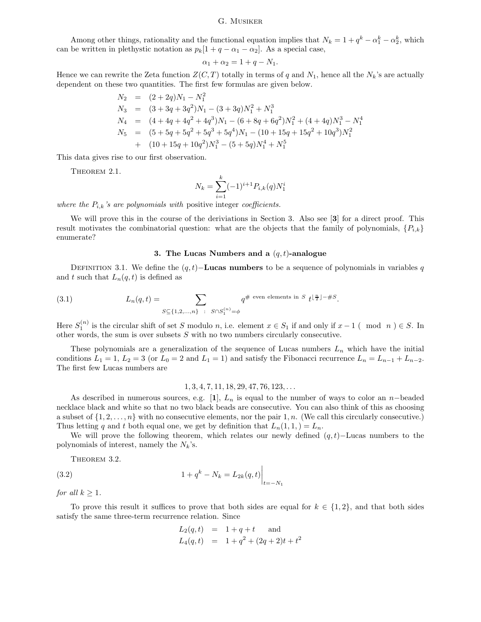Among other things, rationality and the functional equation implies that  $N_k = 1 + q^k - \alpha_1^k - \alpha_2^k$ , which can be written in plethystic notation as  $p_k[1+q-\alpha_1-\alpha_2]$ . As a special case,

$$
\alpha_1 + \alpha_2 = 1 + q - N_1.
$$

Hence we can rewrite the Zeta function  $Z(C, T)$  totally in terms of q and  $N_1$ , hence all the  $N_k$ 's are actually dependent on these two quantities. The first few formulas are given below.

$$
N_2 = (2 + 2q)N_1 - N_1^2
$$
  
\n
$$
N_3 = (3 + 3q + 3q^2)N_1 - (3 + 3q)N_1^2 + N_1^3
$$
  
\n
$$
N_4 = (4 + 4q + 4q^2 + 4q^3)N_1 - (6 + 8q + 6q^2)N_1^2 + (4 + 4q)N_1^3 - N_1^4
$$
  
\n
$$
N_5 = (5 + 5q + 5q^2 + 5q^3 + 5q^4)N_1 - (10 + 15q + 15q^2 + 10q^3)N_1^2
$$
  
\n
$$
+ (10 + 15q + 10q^2)N_1^3 - (5 + 5q)N_1^4 + N_1^5
$$

This data gives rise to our first observation.

THEOREM 2.1.

$$
N_k = \sum_{i=1}^k (-1)^{i+1} P_{i,k}(q) N_1^i
$$

where the  $P_{i,k}$ 's are polynomials with positive integer coefficients.

We will prove this in the course of the deriviations in Section 3. Also see [3] for a direct proof. This result motivates the combinatorial question: what are the objects that the family of polynomials,  $\{P_{i,k}\}$ enumerate?

## 3. The Lucas Numbers and a  $(q, t)$ -analogue

DEFINITION 3.1. We define the  $(q, t)$ **-Lucas numbers** to be a sequence of polynomials in variables q and t such that  $L_n(q,t)$  is defined as

(3.1) 
$$
L_n(q,t) = \sum_{S \subseteq \{1,2,\ldots,n\} \; : \; S \cap S_1^{(n)} = \phi} q^{\# \text{ even elements in } S} t^{\lfloor \frac{n}{2} \rfloor - \#S}.
$$

Here  $S_1^{(n)}$  is the circular shift of set S modulo n, i.e. element  $x \in S_1$  if and only if  $x - 1$  (mod n)  $\in S$ . In other words, the sum is over subsets S with no two numbers circularly consecutive.

These polynomials are a generalization of the sequence of Lucas numbers  $L_n$  which have the initial conditions  $L_1 = 1$ ,  $L_2 = 3$  (or  $L_0 = 2$  and  $L_1 = 1$ ) and satisfy the Fibonacci recurrence  $L_n = L_{n-1} + L_{n-2}$ . The first few Lucas numbers are

#### $1, 3, 4, 7, 11, 18, 29, 47, 76, 123, \ldots$

As described in numerous sources, e.g. [1],  $L_n$  is equal to the number of ways to color an n–beaded necklace black and white so that no two black beads are consecutive. You can also think of this as choosing a subset of  $\{1, 2, \ldots, n\}$  with no consecutive elements, nor the pair 1, n. (We call this circularly consecutive.) Thus letting q and t both equal one, we get by definition that  $L_n(1,1) = L_n$ .

We will prove the following theorem, which relates our newly defined  $(q, t)$ –Lucas numbers to the polynomials of interest, namely the  $N_k$ 's.

 $\overline{1}$ 

THEOREM 3.2.

(3.2) 
$$
1 + q^k - N_k = L_{2k}(q, t) \Big|_{t = -N_1}
$$

for all  $k \geq 1$ .

To prove this result it suffices to prove that both sides are equal for  $k \in \{1,2\}$ , and that both sides satisfy the same three-term recurrence relation. Since

$$
L_2(q,t) = 1 + q + t \text{ and}
$$
  
\n
$$
L_4(q,t) = 1 + q^2 + (2q + 2)t + t^2
$$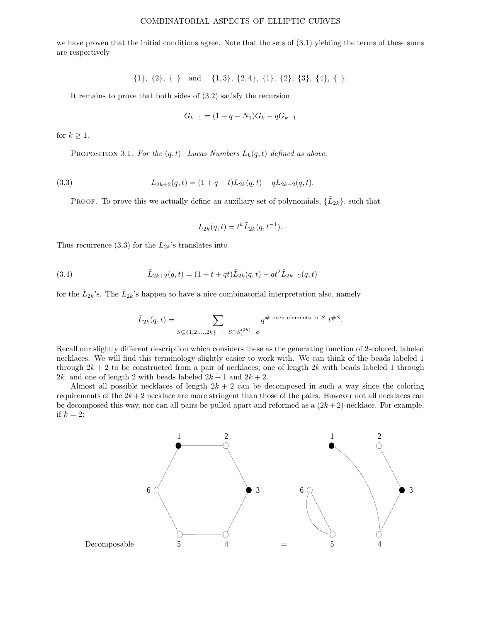we have proven that the initial conditions agree. Note that the sets of (3.1) yielding the terms of these sums are respectively

$$
\{1\}, \{2\}, \{\}\ \text{and} \ \{1,3\}, \{2,4\}, \{1\}, \{2\}, \{3\}, \{4\}, \{\}.
$$

It remains to prove that both sides of (3.2) satisfy the recursion

$$
G_{k+1} = (1 + q - N_1)G_k - qG_{k-1}
$$

for  $k \geq 1$ .

PROPOSITION 3.1. For the  $(q, t)$ −Lucas Numbers  $L_k(q, t)$  defined as above,

(3.3) 
$$
L_{2k+2}(q,t) = (1+q+t)L_{2k}(q,t) - qL_{2k-2}(q,t).
$$

PROOF. To prove this we actually define an auxiliary set of polynomials,  $\{\tilde{L}_{2k}\}\text{, such that}$ 

$$
L_{2k}(q,t) = t^k \tilde{L}_{2k}(q,t^{-1}).
$$

Thus recurrence (3.3) for the  $L_{2k}$ 's translates into

(3.4) 
$$
\tilde{L}_{2k+2}(q,t) = (1+t+qt)\tilde{L}_{2k}(q,t) - qt^2\tilde{L}_{2k-2}(q,t)
$$

for the  $\tilde{L}_{2k}$ 's. The  $\tilde{L}_{2k}$ 's happen to have a nice combinatorial interpretation also, namely

$$
\tilde{L}_{2k}(q,t)=\sum_{S\subseteq \{1,2,\ldots,2k\}~:~S\cap S_1^{(2k)}=\phi}q^{\#~\text{even elements in}~S}~t^{\#S}.
$$

Recall our slightly different description which considers these as the generating function of 2-colored, labeled necklaces. We will find this terminology slightly easier to work with. We can think of the beads labeled 1 through  $2k + 2$  to be constructed from a pair of necklaces; one of length  $2k$  with beads labeled 1 through 2k, and one of length 2 with beads labeled  $2k + 1$  and  $2k + 2$ .

Almost all possible necklaces of length  $2k + 2$  can be decomposed in such a way since the coloring requirements of the  $2k+2$  necklace are more stringent than those of the pairs. However not all necklaces can be decomposed this way, nor can all pairs be pulled apart and reformed as a  $(2k+2)$ -necklace. For example, if  $k = 2$ :

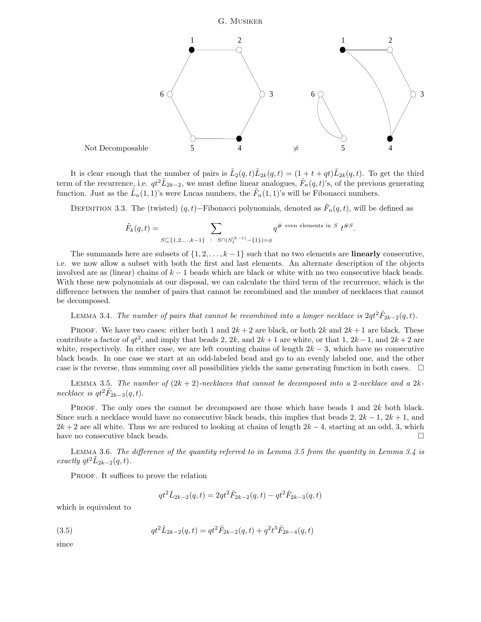

It is clear enough that the number of pairs is  $\tilde{L}_2(q,t)\tilde{L}_{2k}(q,t) = (1+t+qt)\tilde{L}_{2k}(q,t)$ . To get the third term of the recurrence, i.e.  $qt^2\tilde{L}_{2k-2}$ , we must define linear analogues,  $\tilde{F}_n(q,t)$ 's, of the previous generating function. Just as the  $\tilde{L}_n(1,1)$ 's were Lucas numbers, the  $\tilde{F}_n(1,1)$ 's will be Fibonacci numbers.

DEFINITION 3.3. The (twisted)  $(q, t)$ –Fibonacci polynomials, denoted as  $\tilde{F}_n(q, t)$ , will be defined as

$$
\tilde{F}_k(q,t) = \sum_{S \subseteq \{1,2,\ldots,k-1\}} \sum_{\substack{S \cap (S_1^{(k-1)} - \{1\}) = \phi}} q^{\# \text{ even elements in } S} t^{\#S}.
$$

The summands here are subsets of  $\{1, 2, \ldots, k-1\}$  such that no two elements are **linearly** consecutive, i.e. we now allow a subset with both the first and last elements. An alternate description of the objects involved are as (linear) chains of  $k - 1$  beads which are black or white with no two consecutive black beads. With these new polynomials at our disposal, we can calculate the third term of the recurrence, which is the difference between the number of pairs that cannot be recombined and the number of necklaces that cannot be decomposed.

LEMMA 3.4. The number of pairs that cannot be recombined into a longer necklace is  $2qt^2\tilde{F}_{2k-2}(q,t)$ .

PROOF. We have two cases: either both 1 and  $2k + 2$  are black, or both  $2k$  and  $2k + 1$  are black. These contribute a factor of  $qt^2$ , and imply that beads 2, 2k, and  $2k+1$  are white, or that 1,  $2k-1$ , and  $2k+2$  are white, respectively. In either case, we are left counting chains of length  $2k - 3$ , which have no consecutive black beads. In one case we start at an odd-labeled bead and go to an evenly labeled one, and the other case is the reverse, thus summing over all possibilities yields the same generating function in both cases.  $\Box$ 

LEMMA 3.5. The number of  $(2k + 2)$ -necklaces that cannot be decomposed into a 2-necklace and a  $2k$ necklace is  $qt^2\tilde{F}_{2k-3}(q,t)$ .

PROOF. The only ones the cannot be decomposed are those which have beads 1 and  $2k$  both black. Since such a necklace would have no consecutive black beads, this implies that beads 2,  $2k - 1$ ,  $2k + 1$ , and  $2k + 2$  are all white. Thus we are reduced to looking at chains of length  $2k - 4$ , starting at an odd, 3, which have no consecutive black beads.  $\square$ 

Lemma 3.6. The difference of the quantity referred to in Lemma 3.5 from the quantity in Lemma 3.4 is exactly  $qt^2\tilde{L}_{2k-2}(q,t)$ .

PROOF. It suffices to prove the relation

$$
qt^2\tilde{L}_{2k-2}(q,t) = 2qt^2\tilde{F}_{2k-2}(q,t) - qt^2\tilde{F}_{2k-3}(q,t)
$$

which is equivalent to

(3.5) 
$$
qt^{2}\tilde{L}_{2k-2}(q,t) = qt^{2}\tilde{F}_{2k-2}(q,t) + q^{2}t^{3}\tilde{F}_{2k-4}(q,t)
$$

since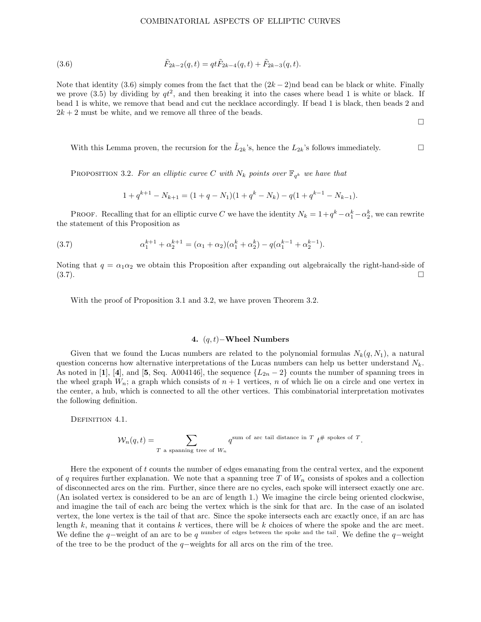(3.6) 
$$
\tilde{F}_{2k-2}(q,t) = qt\tilde{F}_{2k-4}(q,t) + \tilde{F}_{2k-3}(q,t).
$$

Note that identity (3.6) simply comes from the fact that the  $(2k-2)$ nd bead can be black or white. Finally we prove (3.5) by dividing by  $qt^2$ , and then breaking it into the cases where bead 1 is white or black. If bead 1 is white, we remove that bead and cut the necklace accordingly. If bead 1 is black, then beads 2 and  $2k + 2$  must be white, and we remove all three of the beads.

 $\Box$ 

With this Lemma proven, the recursion for the  $\tilde{L}_{2k}$ 's, hence the  $L_{2k}$ 's follows immediately.

PROPOSITION 3.2. For an elliptic curve C with  $N_k$  points over  $\mathbb{F}_{q^k}$  we have that

$$
1 + q^{k+1} - N_{k+1} = (1 + q - N_1)(1 + q^k - N_k) - q(1 + q^{k-1} - N_{k-1}).
$$

PROOF. Recalling that for an elliptic curve C we have the identity  $N_k = 1 + q^k - \alpha_1^k - \alpha_2^k$ , we can rewrite the statement of this Proposition as

(3.7) 
$$
\alpha_1^{k+1} + \alpha_2^{k+1} = (\alpha_1 + \alpha_2)(\alpha_1^k + \alpha_2^k) - q(\alpha_1^{k-1} + \alpha_2^{k-1}).
$$

Noting that  $q = \alpha_1 \alpha_2$  we obtain this Proposition after expanding out algebraically the right-hand-side of  $(3.7)$ .

With the proof of Proposition 3.1 and 3.2, we have proven Theorem 3.2.

# 4. (q, t)−Wheel Numbers

Given that we found the Lucas numbers are related to the polynomial formulas  $N_k(q, N_1)$ , a natural question concerns how alternative interpretations of the Lucas numbers can help us better understand  $N_k$ . As noted in [1], [4], and [5, Seq. A004146], the sequence  $\{L_{2n} - 2\}$  counts the number of spanning trees in the wheel graph  $W_n$ ; a graph which consists of  $n + 1$  vertices, n of which lie on a circle and one vertex in the center, a hub, which is connected to all the other vertices. This combinatorial interpretation motivates the following definition.

DEFINITION 4.1.

$$
\mathcal{W}_n(q,t)=\sum_{T\text{ a spanning tree of }W_n}q^{\text{sum of arc tail distance in }T}\;t^{\# \text{ spokes of }T}.
$$

Here the exponent of  $t$  counts the number of edges emanating from the central vertex, and the exponent of q requires further explanation. We note that a spanning tree T of  $W_n$  consists of spokes and a collection of disconnected arcs on the rim. Further, since there are no cycles, each spoke will intersect exactly one arc. (An isolated vertex is considered to be an arc of length 1.) We imagine the circle being oriented clockwise, and imagine the tail of each arc being the vertex which is the sink for that arc. In the case of an isolated vertex, the lone vertex is the tail of that arc. Since the spoke intersects each arc exactly once, if an arc has length  $k$ , meaning that it contains  $k$  vertices, there will be  $k$  choices of where the spoke and the arc meet. We define the q–weight of an arc to be q <sup>number of edges between the spoke and the tail.</sup> We define the q–weight of the tree to be the product of the q−weights for all arcs on the rim of the tree.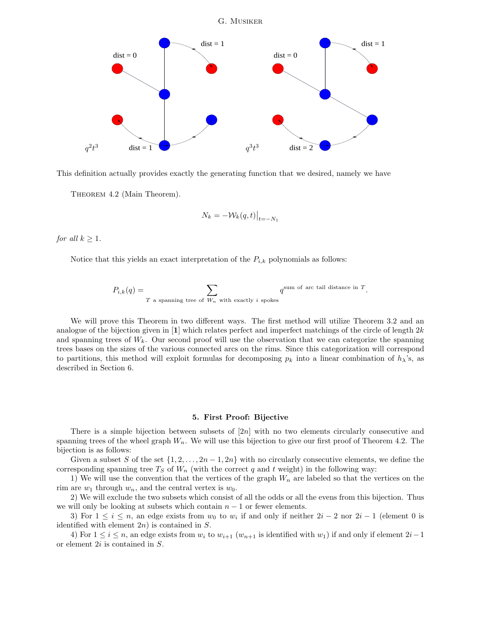

This definition actually provides exactly the generating function that we desired, namely we have

THEOREM 4.2 (Main Theorem).

$$
N_k = -\mathcal{W}_k(q, t)\big|_{t=-N_1}
$$

for all  $k \geq 1$ .

Notice that this yields an exact interpretation of the  $P_{i,k}$  polynomials as follows:

$$
P_{i,k}(q) = \sum_{T \text{ a spanning tree of } W_n \text{ with exactly } i \text{ spokes}} q^{\text{sum of arc tail distance in } T}.
$$

We will prove this Theorem in two different ways. The first method will utilize Theorem 3.2 and an analogue of the bijection given in  $\left[1\right]$  which relates perfect and imperfect matchings of the circle of length 2k and spanning trees of  $W_k$ . Our second proof will use the observation that we can categorize the spanning trees bases on the sizes of the various connected arcs on the rims. Since this categorization will correspond to partitions, this method will exploit formulas for decomposing  $p_k$  into a linear combination of  $h_\lambda$ 's, as described in Section 6.

#### 5. First Proof: Bijective

There is a simple bijection between subsets of  $[2n]$  with no two elements circularly consecutive and spanning trees of the wheel graph  $W_n$ . We will use this bijection to give our first proof of Theorem 4.2. The bijection is as follows:

Given a subset S of the set  $\{1, 2, \ldots, 2n-1, 2n\}$  with no circularly consecutive elements, we define the corresponding spanning tree  $T_S$  of  $W_n$  (with the correct q and t weight) in the following way:

1) We will use the convention that the vertices of the graph  $W_n$  are labeled so that the vertices on the rim are  $w_1$  through  $w_n$ , and the central vertex is  $w_0$ .

2) We will exclude the two subsets which consist of all the odds or all the evens from this bijection. Thus we will only be looking at subsets which contain  $n - 1$  or fewer elements.

3) For  $1 \leq i \leq n$ , an edge exists from  $w_0$  to  $w_i$  if and only if neither  $2i - 2$  nor  $2i - 1$  (element 0 is identified with element  $2n$ ) is contained in S.

4) For  $1 \le i \le n$ , an edge exists from  $w_i$  to  $w_{i+1}$  ( $w_{n+1}$  is identified with  $w_1$ ) if and only if element  $2i-1$ or element 2i is contained in S.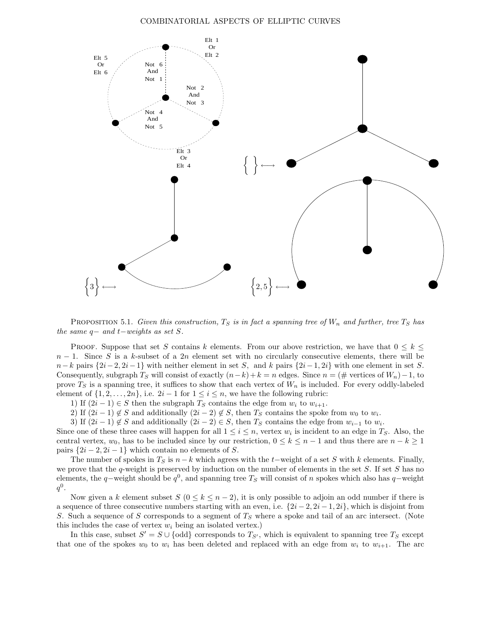

**PROPOSITION** 5.1. Given this construction,  $T<sub>S</sub>$  is in fact a spanning tree of  $W<sub>n</sub>$  and further, tree  $T<sub>S</sub>$  has the same  $q-$  and  $t-$ weights as set S.

PROOF. Suppose that set S contains k elements. From our above restriction, we have that  $0 \leq k \leq$  $n-1$ . Since S is a k-subset of a 2n element set with no circularly consecutive elements, there will be  $n-k$  pairs  $\{2i-2, 2i-1\}$  with neither element in set S, and k pairs  $\{2i-1, 2i\}$  with one element in set S. Consequently, subgraph  $T_S$  will consist of exactly  $(n-k)+k = n$  edges. Since  $n = (\#$  vertices of  $W_n) - 1$ , to prove  $T_S$  is a spanning tree, it suffices to show that each vertex of  $W_n$  is included. For every oddly-labeled element of  $\{1, 2, \ldots, 2n\}$ , i.e.  $2i - 1$  for  $1 \leq i \leq n$ , we have the following rubric:

1) If  $(2i-1) \in S$  then the subgraph  $T_S$  contains the edge from  $w_i$  to  $w_{i+1}$ .

2) If  $(2i-1) \notin S$  and additionally  $(2i-2) \notin S$ , then  $T_S$  contains the spoke from  $w_0$  to  $w_i$ .

3) If  $(2i-1) \notin S$  and additionally  $(2i-2) \in S$ , then  $T_S$  contains the edge from  $w_{i-1}$  to  $w_i$ .

Since one of these three cases will happen for all  $1 \leq i \leq n$ , vertex  $w_i$  is incident to an edge in  $T_S$ . Also, the central vertex,  $w_0$ , has to be included since by our restriction,  $0 \le k \le n-1$  and thus there are  $n-k \ge 1$ pairs  $\{2i-2, 2i-1\}$  which contain no elements of S.

The number of spokes in  $T_S$  is  $n-k$  which agrees with the t–weight of a set S with k elements. Finally, we prove that the q-weight is preserved by induction on the number of elements in the set  $S$ . If set  $S$  has no elements, the q–weight should be  $q^0$ , and spanning tree  $T_S$  will consist of n spokes which also has q–weight  $q^0.$ 

Now given a k element subset  $S$  ( $0 \le k \le n-2$ ), it is only possible to adjoin an odd number if there is a sequence of three consecutive numbers starting with an even, i.e.  $\{2i-2, 2i-1, 2i\}$ , which is disjoint from S. Such a sequence of S corresponds to a segment of  $T<sub>S</sub>$  where a spoke and tail of an arc intersect. (Note this includes the case of vertex  $w_i$  being an isolated vertex.)

In this case, subset  $S' = S \cup \{odd\}$  corresponds to  $T_{S'}$ , which is equivalent to spanning tree  $T_S$  except that one of the spokes  $w_0$  to  $w_i$  has been deleted and replaced with an edge from  $w_i$  to  $w_{i+1}$ . The arc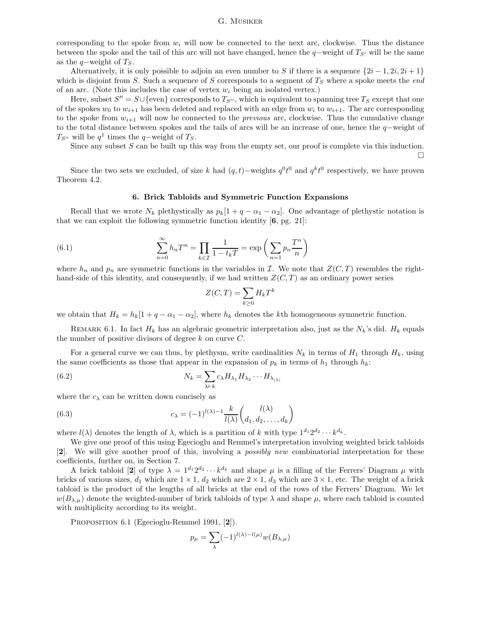corresponding to the spoke from  $w_i$  will now be connected to the next arc, clockwise. Thus the distance between the spoke and the tail of this arc will not have changed, hence the q−weight of  $T_{S}$  will be the same as the q-weight of  $T_S$ .

Alternatively, it is only possible to adjoin an even number to S if there is a sequence  $\{2i-1, 2i, 2i+1\}$ which is disjoint from S. Such a sequence of S corresponds to a segment of  $T<sub>S</sub>$  where a spoke meets the end of an arc. (Note this includes the case of vertex  $w_i$  being an isolated vertex.)

Here, subset  $S'' = S \cup \{\text{even}\}\)$  corresponds to  $T_{S''}$ , which is equivalent to spanning tree  $T_S$  except that one of the spokes  $w_0$  to  $w_{i+1}$  has been deleted and replaced with an edge from  $w_i$  to  $w_{i+1}$ . The arc corresponding to the spoke from  $w_{i+1}$  will now be connected to the *previous* arc, clockwise. Thus the cumulative change to the total distance between spokes and the tails of arcs will be an increase of one, hence the q−weight of  $T_{S}$ <sup>*w*</sup> will be  $q$ <sup>1</sup> times the  $q$ -weight of  $T_S$ .

Since any subset  $S$  can be built up this way from the empty set, our proof is complete via this induction.

 $\Box$ 

Since the two sets we excluded, of size k had  $(q, t)$ –weights  $q^0 t^0$  and  $q^k t^0$  respectively, we have proven Theorem 4.2.

#### 6. Brick Tabloids and Symmetric Function Expansions

Recall that we wrote  $N_k$  plethystically as  $p_k[1 + q - \alpha_1 - \alpha_2]$ . One advantage of plethystic notation is that we can exploit the following symmetric function identity [6, pg. 21]:

(6.1) 
$$
\sum_{n=0}^{\infty} h_n T^n = \prod_{k \in \mathcal{I}} \frac{1}{1 - t_k T} = \exp\left(\sum_{n=1} p_n \frac{T^n}{n}\right)
$$

where  $h_n$  and  $p_n$  are symmetric functions in the variables in I. We note that  $Z(C,T)$  resembles the righthand-side of this identity, and consequently, if we had written  $Z(C, T)$  as an ordinary power series

$$
Z(C,T) = \sum_{k\geq 0} H_k T^k
$$

we obtain that  $H_k = h_k[1 + q - \alpha_1 - \alpha_2]$ , where  $h_k$  denotes the kth homogeneous symmetric function.

REMARK 6.1. In fact  $H_k$  has an algebraic geometric interpretation also, just as the  $N_k$ 's did.  $H_k$  equals the number of positive divisors of degree  $k$  on curve  $C$ .

For a general curve we can thus, by plethysm, write cardinalities  $N_k$  in terms of  $H_1$  through  $H_k$ , using the same coefficients as those that appear in the expansion of  $p_k$  in terms of  $h_1$  through  $h_k$ :

(6.2) 
$$
N_k = \sum_{\lambda \vdash k} c_{\lambda} H_{\lambda_1} H_{\lambda_2} \cdots H_{\lambda_{|\lambda|}}
$$

where the  $c_{\lambda}$  can be written down concisely as

(6.3) 
$$
c_{\lambda} = (-1)^{l(\lambda)-1} \frac{k}{l(\lambda)} \binom{l(\lambda)}{d_1, d_2, \dots, d_k}
$$

where  $l(\lambda)$  denotes the length of  $\lambda$ , which is a partition of k with type  $1^{d_1}2^{d_2}\cdots k^{d_k}$ .

We give one proof of this using Egecioglu and Remmel's interpretation involving weighted brick tabloids [2]. We will give another proof of this, involving a possibly new combinatorial interpretation for these coefficients, further on, in Section 7.

A brick tabloid [2] of type  $\lambda = 1^{d_1} 2^{d_2} \cdots k^{d_k}$  and shape  $\mu$  is a filling of the Ferrers' Diagram  $\mu$  with bricks of various sizes,  $d_1$  which are  $1 \times 1$ ,  $d_2$  which are  $2 \times 1$ ,  $d_3$  which are  $3 \times 1$ , etc. The weight of a brick tabloid is the product of the lengths of all bricks at the end of the rows of the Ferrers' Diagram. We let  $w(B_{\lambda,\mu})$  denote the weighted-number of brick tabloids of type  $\lambda$  and shape  $\mu$ , where each tabloid is counted with multiplicity according to its weight.

PROPOSITION 6.1 (Egecioglu-Remmel 1991, [2]).

$$
p_{\mu} = \sum_{\lambda} (-1)^{l(\lambda) - l(\mu)} w(B_{\lambda, \mu})
$$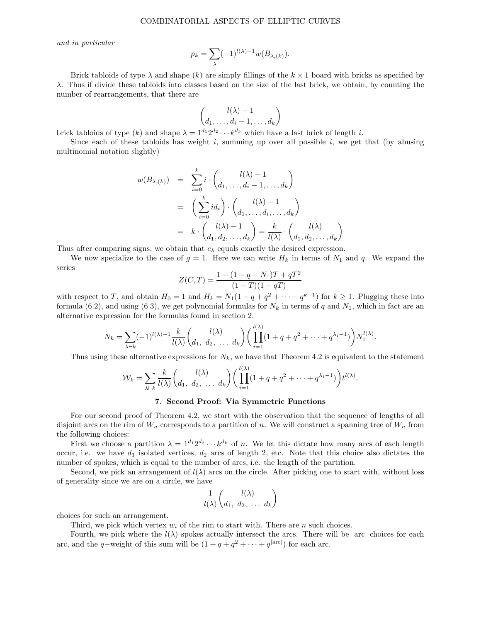and in particular

$$
p_k = \sum_{\lambda} (-1)^{l(\lambda)-1} w(B_{\lambda,(k)}).
$$

Brick tabloids of type  $\lambda$  and shape (k) are simply fillings of the  $k \times 1$  board with bricks as specified by λ. Thus if divide these tabloids into classes based on the size of the last brick, we obtain, by counting the number of rearrangements, that there are

$$
\binom{l(\lambda)-1}{d_1,\ldots,d_i-1,\ldots,d_k}
$$

brick tabloids of type  $(k)$  and shape  $\lambda = 1^{d_1} 2^{d_2} \cdots k^{d_k}$  which have a last brick of length i.

Since each of these tabloids has weight i, summing up over all possible i, we get that (by abusing multinomial notation slightly)

$$
w(B_{\lambda,(k)}) = \sum_{i=0}^{k} i \cdot {l(\lambda) - 1 \choose d_1, \dots, d_i - 1, \dots, d_k}
$$
  
= 
$$
\left(\sum_{i=0}^{k} id_i\right) \cdot {l(\lambda) - 1 \choose d_1, \dots, d_i, \dots, d_k}
$$
  
= 
$$
k \cdot {l(\lambda) - 1 \choose d_1, d_2, \dots, d_k} = \frac{k}{l(\lambda)} \cdot {l(\lambda) \choose d_1, d_2, \dots, d_k}
$$

Thus after comparing signs, we obtain that  $c_{\lambda}$  equals exactly the desired expression.

We now specialize to the case of  $g = 1$ . Here we can write  $H_k$  in terms of  $N_1$  and q. We expand the series

$$
Z(C,T) = \frac{1 - (1 + q - N_1)T + qT^2}{(1 - T)(1 - qT)}
$$

with respect to T, and obtain  $H_0 = 1$  and  $H_k = N_1(1 + q + q^2 + \cdots + q^{k-1})$  for  $k \ge 1$ . Plugging these into formula (6.2), and using (6.3), we get polynomial formulas for  $N_k$  in terms of q and  $N_1$ , which in fact are an alternative expression for the formulas found in section 2.

$$
N_k = \sum_{\lambda \vdash k} (-1)^{l(\lambda)-1} \frac{k}{l(\lambda)} \binom{l(\lambda)}{d_1, d_2, \ldots d_k} \left( \prod_{i=1}^{l(\lambda)} (1+q+q^2+\cdots+q^{\lambda_i-1}) \right) N_1^{l(\lambda)}.
$$

Thus using these alternative expressions for  $N_k$ , we have that Theorem 4.2 is equivalent to the statement

$$
\mathcal{W}_k = \sum_{\lambda \vdash k} \frac{k}{l(\lambda)} \binom{l(\lambda)}{d_1, d_2, \ldots d_k} \left( \prod_{i=1}^{l(\lambda)} (1 + q + q^2 + \cdots + q^{\lambda_i - 1}) \right) t^{l(\lambda)}.
$$

## 7. Second Proof: Via Symmetric Functions

For our second proof of Theorem 4.2, we start with the observation that the sequence of lengths of all disjoint arcs on the rim of  $W_n$  corresponds to a partition of n. We will construct a spanning tree of  $W_n$  from the following choices:

First we choose a partition  $\lambda = 1^{d_1} 2^{d_2} \cdots k^{d_k}$  of n. We let this dictate how many arcs of each length occur, i.e. we have  $d_1$  isolated vertices,  $d_2$  arcs of length 2, etc. Note that this choice also dictates the number of spokes, which is equal to the number of arcs, i.e. the length of the partition.

Second, we pick an arrangement of  $l(\lambda)$  arcs on the circle. After picking one to start with, without loss of generality since we are on a circle, we have

$$
\frac{1}{l(\lambda)} \begin{pmatrix} l(\lambda) \\ d_1, d_2, \ldots, d_k \end{pmatrix}
$$

choices for such an arrangement.

Third, we pick which vertex  $w_i$  of the rim to start with. There are n such choices.

Fourth, we pick where the  $l(\lambda)$  spokes actually intersect the arcs. There will be |arc| choices for each arc, and the q-weight of this sum will be  $(1 + q + q^2 + \cdots + q^{|\text{arc}|})$  for each arc.